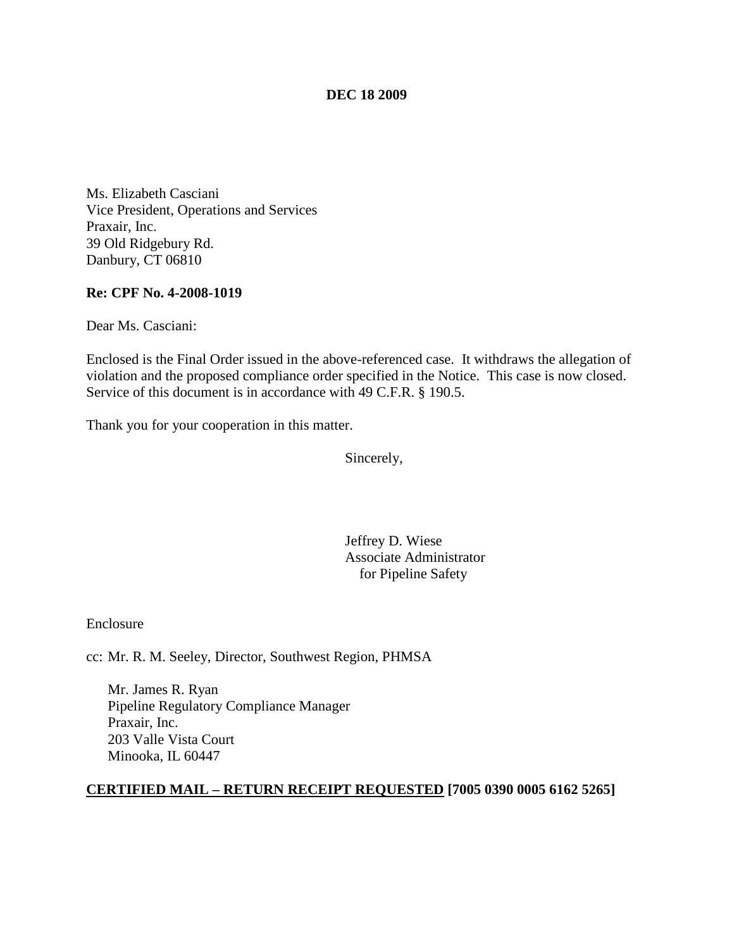### **DEC 18 2009**

Ms. Elizabeth Casciani Vice President, Operations and Services Praxair, Inc. 39 Old Ridgebury Rd. Danbury, CT 06810

### **Re: CPF No. 4-2008-1019**

Dear Ms. Casciani:

Enclosed is the Final Order issued in the above-referenced case. It withdraws the allegation of violation and the proposed compliance order specified in the Notice. This case is now closed. Service of this document is in accordance with 49 C.F.R. § 190.5.

Thank you for your cooperation in this matter.

Sincerely,

Jeffrey D. Wiese Associate Administrator for Pipeline Safety

Enclosure

cc: Mr. R. M. Seeley, Director, Southwest Region, PHMSA

Mr. James R. Ryan Pipeline Regulatory Compliance Manager Praxair, Inc. 203 Valle Vista Court Minooka, IL 60447

#### **CERTIFIED MAIL – RETURN RECEIPT REQUESTED [7005 0390 0005 6162 5265]**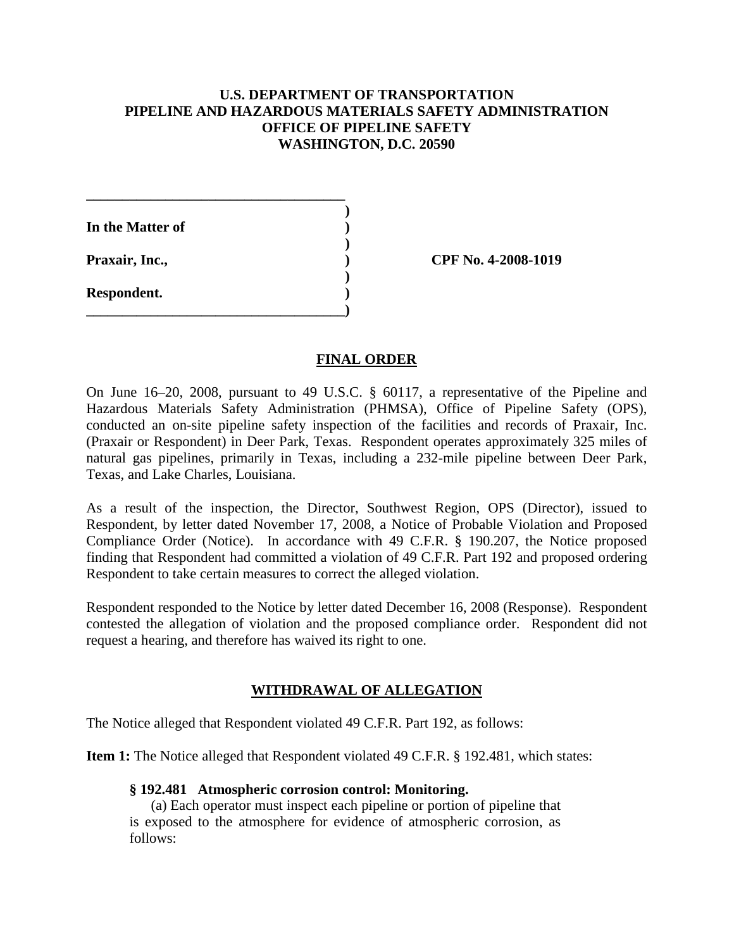# **U.S. DEPARTMENT OF TRANSPORTATION PIPELINE AND HAZARDOUS MATERIALS SAFETY ADMINISTRATION OFFICE OF PIPELINE SAFETY WASHINGTON, D.C. 20590**

**)**

| In the Matter of |  |
|------------------|--|
| Praxair, Inc.,   |  |
| Respondent.      |  |

**\_\_\_\_\_\_\_\_\_\_\_\_\_\_\_\_\_\_\_\_\_\_\_\_\_\_\_\_\_\_\_\_\_\_\_\_)**

**\_\_\_\_\_\_\_\_\_\_\_\_\_\_\_\_\_\_\_\_\_\_\_\_\_\_\_\_\_\_\_\_\_\_\_\_**

**Praxair, Inc., ) CPF No. 4-2008-1019**

## **FINAL ORDER**

On June 16–20, 2008, pursuant to 49 U.S.C. § 60117, a representative of the Pipeline and Hazardous Materials Safety Administration (PHMSA), Office of Pipeline Safety (OPS), conducted an on-site pipeline safety inspection of the facilities and records of Praxair, Inc. (Praxair or Respondent) in Deer Park, Texas. Respondent operates approximately 325 miles of natural gas pipelines, primarily in Texas, including a 232-mile pipeline between Deer Park, Texas, and Lake Charles, Louisiana.

As a result of the inspection, the Director, Southwest Region, OPS (Director), issued to Respondent, by letter dated November 17, 2008, a Notice of Probable Violation and Proposed Compliance Order (Notice). In accordance with 49 C.F.R. § 190.207, the Notice proposed finding that Respondent had committed a violation of 49 C.F.R. Part 192 and proposed ordering Respondent to take certain measures to correct the alleged violation.

Respondent responded to the Notice by letter dated December 16, 2008 (Response). Respondent contested the allegation of violation and the proposed compliance order. Respondent did not request a hearing, and therefore has waived its right to one.

# **WITHDRAWAL OF ALLEGATION**

The Notice alleged that Respondent violated 49 C.F.R. Part 192, as follows:

**Item 1:** The Notice alleged that Respondent violated 49 C.F.R. § 192.481, which states:

#### **§ 192.481 Atmospheric corrosion control: Monitoring.**

(a) Each operator must inspect each pipeline or portion of pipeline that is exposed to the atmosphere for evidence of atmospheric corrosion, as follows: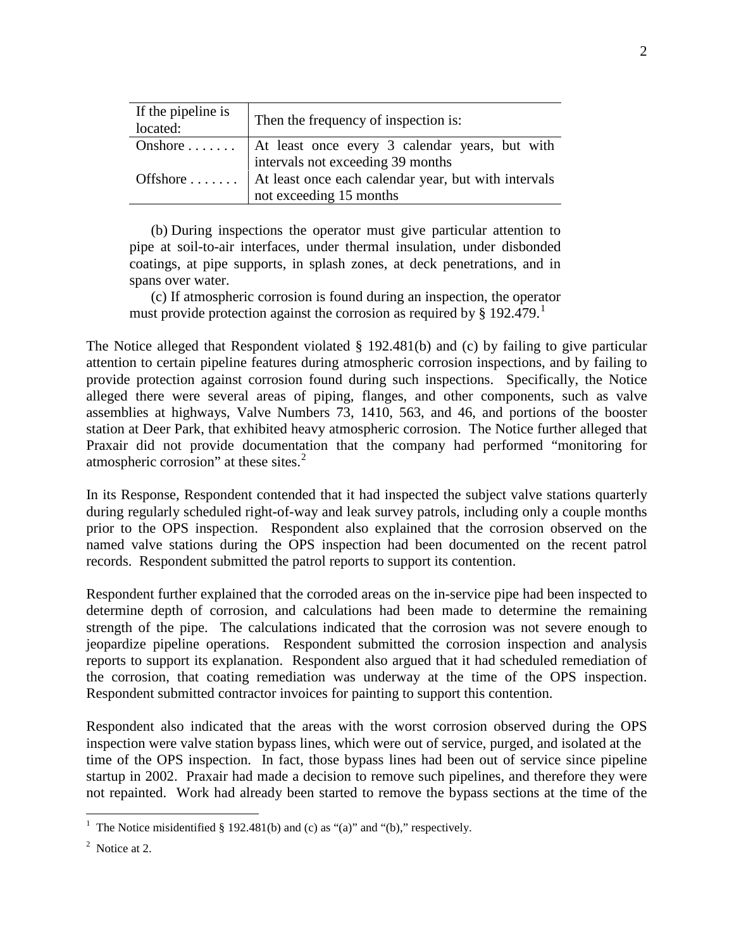| If the pipeline is<br>located: | Then the frequency of inspection is:                                                                  |  |
|--------------------------------|-------------------------------------------------------------------------------------------------------|--|
|                                |                                                                                                       |  |
|                                | Onshore $\dots$ At least once every 3 calendar years, but with                                        |  |
|                                | intervals not exceeding 39 months<br>Offshore    At least once each calendar year, but with intervals |  |
|                                |                                                                                                       |  |
| not exceeding 15 months        |                                                                                                       |  |

(b) During inspections the operator must give particular attention to pipe at soil-to-air interfaces, under thermal insulation, under disbonded coatings, at pipe supports, in splash zones, at deck penetrations, and in spans over water.

(c) If atmospheric corrosion is found during an inspection, the operator must provide protection against the corrosion as required by  $\S 192.479$  $\S 192.479$  $\S 192.479$ .

The Notice alleged that Respondent violated § 192.481(b) and (c) by failing to give particular attention to certain pipeline features during atmospheric corrosion inspections, and by failing to provide protection against corrosion found during such inspections. Specifically, the Notice alleged there were several areas of piping, flanges, and other components, such as valve assemblies at highways, Valve Numbers 73, 1410, 563, and 46, and portions of the booster station at Deer Park, that exhibited heavy atmospheric corrosion. The Notice further alleged that Praxair did not provide documentation that the company had performed "monitoring for atmospheric corrosion" at these sites.<sup>[2](#page-2-1)</sup>

In its Response, Respondent contended that it had inspected the subject valve stations quarterly during regularly scheduled right-of-way and leak survey patrols, including only a couple months prior to the OPS inspection. Respondent also explained that the corrosion observed on the named valve stations during the OPS inspection had been documented on the recent patrol records. Respondent submitted the patrol reports to support its contention.

Respondent further explained that the corroded areas on the in-service pipe had been inspected to determine depth of corrosion, and calculations had been made to determine the remaining strength of the pipe. The calculations indicated that the corrosion was not severe enough to jeopardize pipeline operations. Respondent submitted the corrosion inspection and analysis reports to support its explanation. Respondent also argued that it had scheduled remediation of the corrosion, that coating remediation was underway at the time of the OPS inspection. Respondent submitted contractor invoices for painting to support this contention.

Respondent also indicated that the areas with the worst corrosion observed during the OPS inspection were valve station bypass lines, which were out of service, purged, and isolated at the time of the OPS inspection. In fact, those bypass lines had been out of service since pipeline startup in 2002. Praxair had made a decision to remove such pipelines, and therefore they were not repainted. Work had already been started to remove the bypass sections at the time of the

<span id="page-2-0"></span> $\frac{1}{1}$ <sup>1</sup> The Notice misidentified § 192.481(b) and (c) as "(a)" and "(b)," respectively.

<span id="page-2-1"></span> $2^2$  Notice at 2.